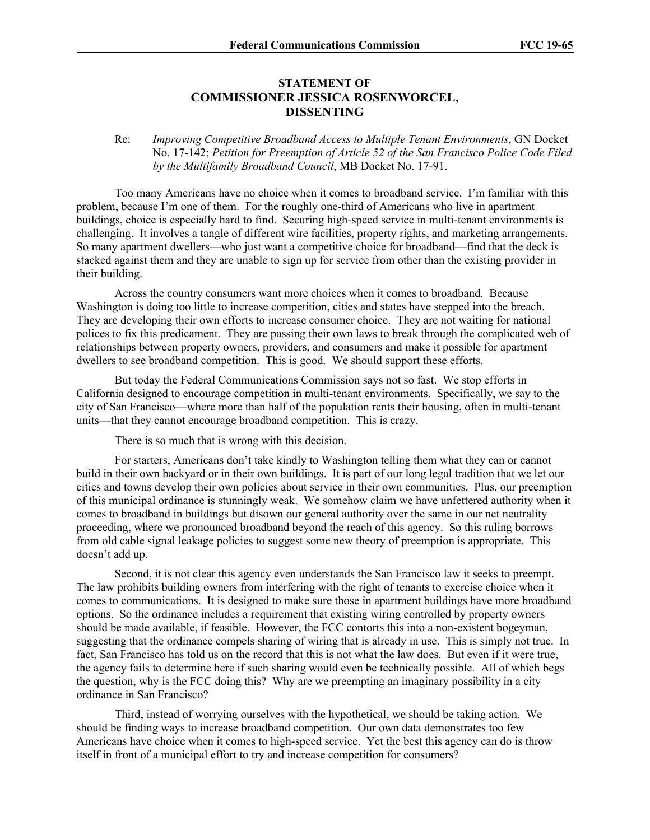## **STATEMENT OF COMMISSIONER JESSICA ROSENWORCEL, DISSENTING**

Re: *Improving Competitive Broadband Access to Multiple Tenant Environments*, GN Docket No. 17-142; *Petition for Preemption of Article 52 of the San Francisco Police Code Filed by the Multifamily Broadband Council*, MB Docket No. 17-91.

Too many Americans have no choice when it comes to broadband service. I'm familiar with this problem, because I'm one of them. For the roughly one-third of Americans who live in apartment buildings, choice is especially hard to find. Securing high-speed service in multi-tenant environments is challenging. It involves a tangle of different wire facilities, property rights, and marketing arrangements. So many apartment dwellers—who just want a competitive choice for broadband—find that the deck is stacked against them and they are unable to sign up for service from other than the existing provider in their building.

Across the country consumers want more choices when it comes to broadband. Because Washington is doing too little to increase competition, cities and states have stepped into the breach. They are developing their own efforts to increase consumer choice. They are not waiting for national polices to fix this predicament. They are passing their own laws to break through the complicated web of relationships between property owners, providers, and consumers and make it possible for apartment dwellers to see broadband competition. This is good. We should support these efforts.

But today the Federal Communications Commission says not so fast. We stop efforts in California designed to encourage competition in multi-tenant environments. Specifically, we say to the city of San Francisco—where more than half of the population rents their housing, often in multi-tenant units—that they cannot encourage broadband competition. This is crazy.

There is so much that is wrong with this decision.

For starters, Americans don't take kindly to Washington telling them what they can or cannot build in their own backyard or in their own buildings. It is part of our long legal tradition that we let our cities and towns develop their own policies about service in their own communities. Plus, our preemption of this municipal ordinance is stunningly weak. We somehow claim we have unfettered authority when it comes to broadband in buildings but disown our general authority over the same in our net neutrality proceeding, where we pronounced broadband beyond the reach of this agency. So this ruling borrows from old cable signal leakage policies to suggest some new theory of preemption is appropriate. This doesn't add up.

Second, it is not clear this agency even understands the San Francisco law it seeks to preempt. The law prohibits building owners from interfering with the right of tenants to exercise choice when it comes to communications. It is designed to make sure those in apartment buildings have more broadband options. So the ordinance includes a requirement that existing wiring controlled by property owners should be made available, if feasible. However, the FCC contorts this into a non-existent bogeyman, suggesting that the ordinance compels sharing of wiring that is already in use. This is simply not true. In fact, San Francisco has told us on the record that this is not what the law does. But even if it were true, the agency fails to determine here if such sharing would even be technically possible. All of which begs the question, why is the FCC doing this? Why are we preempting an imaginary possibility in a city ordinance in San Francisco?

Third, instead of worrying ourselves with the hypothetical, we should be taking action. We should be finding ways to increase broadband competition. Our own data demonstrates too few Americans have choice when it comes to high-speed service. Yet the best this agency can do is throw itself in front of a municipal effort to try and increase competition for consumers?